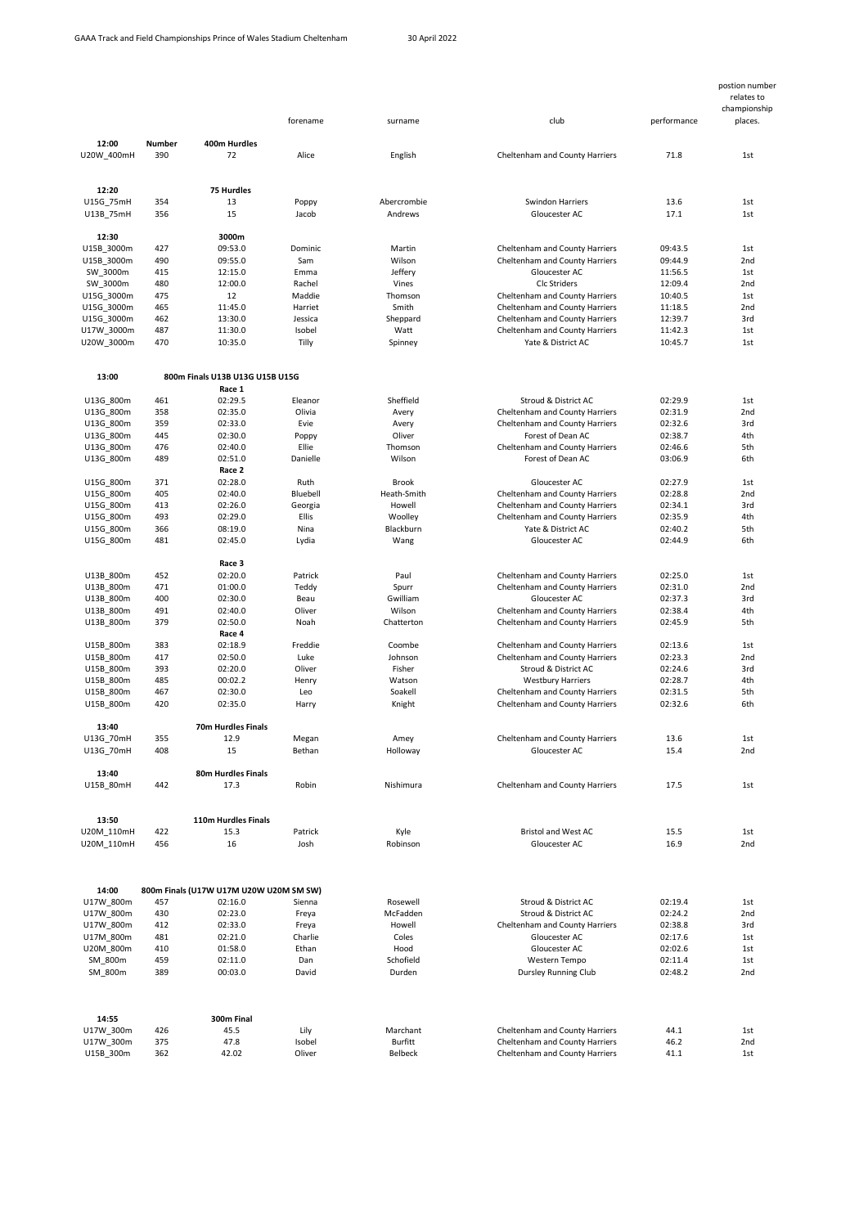|                          |            |                                           | forename         | surname         | club                                                 | performance        | postion number<br>relates to<br>championship<br>places. |
|--------------------------|------------|-------------------------------------------|------------------|-----------------|------------------------------------------------------|--------------------|---------------------------------------------------------|
| 12:00                    | Number     | 400m Hurdles                              |                  |                 |                                                      |                    |                                                         |
| U20W_400mH               | 390        | 72                                        | Alice            | English         | Cheltenham and County Harriers                       | 71.8               | 1st                                                     |
| 12:20                    |            | 75 Hurdles                                |                  |                 |                                                      |                    |                                                         |
| U15G 75mH                | 354        | 13                                        | Poppy            | Abercrombie     | Swindon Harriers                                     | 13.6               | 1st                                                     |
| U13B_75mH                | 356        | 15                                        | Jacob            | Andrews         | Gloucester AC                                        | 17.1               | 1st                                                     |
| 12:30<br>U15B 3000m      | 427        | 3000m<br>09:53.0                          | Dominic          | Martin          | Cheltenham and County Harriers                       | 09:43.5            | 1st                                                     |
| U15B_3000m               | 490        | 09:55.0                                   | Sam              | Wilson          | Cheltenham and County Harriers                       | 09:44.9            | 2nd                                                     |
| SW 3000m                 | 415        | 12:15.0                                   | Emma             | Jeffery         | Gloucester AC                                        | 11:56.5            | 1st                                                     |
| SW 3000m                 | 480        | 12:00.0                                   | Rachel           | Vines           | <b>Clc Striders</b>                                  | 12:09.4            | 2 <sub>nd</sub>                                         |
| U15G_3000m               | 475        | 12                                        | Maddie           | Thomson         | Cheltenham and County Harriers                       | 10:40.5            | 1st                                                     |
| U15G 3000m               | 465        | 11:45.0                                   | Harriet          | Smith           | Cheltenham and County Harriers                       | 11:18.5            | 2nd                                                     |
| U15G 3000m               | 462        | 13:30.0                                   | Jessica          | Sheppard        | Cheltenham and County Harriers                       | 12:39.7            | 3rd                                                     |
| U17W_3000m<br>U20W_3000m | 487<br>470 | 11:30.0<br>10:35.0                        | Isobel<br>Tilly  | Watt<br>Spinney | Cheltenham and County Harriers<br>Yate & District AC | 11:42.3<br>10:45.7 | 1st<br>1st                                              |
|                          |            |                                           |                  |                 |                                                      |                    |                                                         |
| 13:00                    |            | 800m Finals U13B U13G U15B U15G<br>Race 1 |                  |                 |                                                      |                    |                                                         |
| U13G_800m                | 461        | 02:29.5                                   | Eleanor          | Sheffield       | Stroud & District AC                                 | 02:29.9            | 1st                                                     |
| U13G 800m                | 358        | 02:35.0                                   | Olivia           | Avery           | Cheltenham and County Harriers                       | 02:31.9            | 2 <sub>nd</sub>                                         |
| U13G 800m                | 359        | 02:33.0                                   | Evie             | Avery           | Cheltenham and County Harriers                       | 02:32.6            | 3rd                                                     |
| U13G_800m                | 445        | 02:30.0                                   | Poppy            | Oliver          | Forest of Dean AC                                    | 02:38.7            | 4th                                                     |
| U13G 800m                | 476        | 02:40.0                                   | Ellie            | Thomson         | Cheltenham and County Harriers                       | 02:46.6            | 5th                                                     |
| U13G_800m                | 489        | 02:51.0<br>Race 2                         | Danielle         | Wilson          | Forest of Dean AC                                    | 03:06.9            | 6th                                                     |
| U15G 800m                | 371        | 02:28.0                                   | Ruth             | Brook           | Gloucester AC                                        | 02:27.9            | 1st                                                     |
| U15G 800m                | 405        | 02:40.0                                   | Bluebell         | Heath-Smith     | Cheltenham and County Harriers                       | 02:28.8            | 2 <sub>nd</sub>                                         |
| U15G_800m                | 413        | 02:26.0                                   | Georgia          | Howell          | Cheltenham and County Harriers                       | 02:34.1            | 3rd                                                     |
| U15G 800m                | 493        | 02:29.0                                   | Ellis            | Woolley         | Cheltenham and County Harriers                       | 02:35.9            | 4th                                                     |
| U15G 800m                | 366        | 08:19.0                                   | Nina             | Blackburn       | Yate & District AC                                   | 02:40.2            | 5th                                                     |
| U15G_800m                | 481        | 02:45.0                                   | Lydia            | Wang            | Gloucester AC                                        | 02:44.9            | 6th                                                     |
|                          |            | Race 3                                    |                  |                 |                                                      |                    |                                                         |
| U13B_800m                | 452        | 02:20.0                                   | Patrick          | Paul            | Cheltenham and County Harriers                       | 02:25.0            | 1st                                                     |
| U13B 800m                | 471        | 01:00.0                                   | Teddy            | Spurr           | Cheltenham and County Harriers                       | 02:31.0            | 2 <sub>nd</sub>                                         |
| U13B_800m                | 400        | 02:30.0                                   | Beau             | Gwilliam        | Gloucester AC                                        | 02:37.3            | 3rd                                                     |
| U13B 800m                | 491        | 02:40.0                                   | Oliver           | Wilson          | Cheltenham and County Harriers                       | 02:38.4            | 4th                                                     |
| U13B 800m                | 379        | 02:50.0<br>Race 4                         | Noah             | Chatterton      | Cheltenham and County Harriers                       | 02:45.9            | 5th                                                     |
| U15B 800m                | 383        | 02:18.9                                   | Freddie          | Coombe          | Cheltenham and County Harriers                       | 02:13.6            | 1st                                                     |
| U15B 800m                | 417        | 02:50.0                                   | Luke             | Johnson         | Cheltenham and County Harriers                       | 02:23.3            | 2 <sub>nd</sub>                                         |
| U15B_800m                | 393        | 02:20.0                                   | Oliver           | Fisher          | Stroud & District AC                                 | 02:24.6            | 3rd                                                     |
| U15B_800m                | 485        | 00:02.2                                   | Henry            | Watson          | <b>Westbury Harriers</b>                             | 02:28.7            | 4th                                                     |
| U15B 800m                | 467        | 02:30.0                                   | Leo              | Soakell         | Cheltenham and County Harriers                       | 02:31.5            | 5th                                                     |
| U15B_800m                | 420        | 02:35.0                                   | Harry            | Knight          | Cheltenham and County Harriers                       | 02:32.6            | 6th                                                     |
| 13:40                    |            | 70m Hurdles Finals                        |                  |                 |                                                      |                    |                                                         |
| U13G_70mH                | 355        | 12.9                                      | Megan            | Amey            | Cheltenham and County Harriers                       | 13.6               | 1st                                                     |
| U13G 70mH                | 408        | 15                                        | Bethan           | Holloway        | Gloucester AC                                        | 15.4               | 2nd                                                     |
| 13:40<br>U15B_80mH       | 442        | 80m Hurdles Finals<br>17.3                | Robin            | Nishimura       | Cheltenham and County Harriers                       | 17.5               | 1st                                                     |
|                          |            |                                           |                  |                 |                                                      |                    |                                                         |
| 13:50                    |            | 110m Hurdles Finals                       |                  |                 |                                                      |                    |                                                         |
| U20M 110mH               | 422        | 15.3                                      | Patrick          | Kyle            | <b>Bristol and West AC</b>                           | 15.5               | 1st                                                     |
| U20M_110mH               | 456        | 16                                        | Josh             | Robinson        | Gloucester AC                                        | 16.9               | 2nd                                                     |
| 14:00                    |            | 800m Finals (U17W U17M U20W U20M SM SW)   |                  |                 |                                                      |                    |                                                         |
| U17W 800m                | 457        | 02:16.0                                   | Sienna           | Rosewell        | Stroud & District AC                                 | 02:19.4            | 1st                                                     |
| U17W_800m                | 430        | 02:23.0                                   | Freya            | McFadden        | Stroud & District AC                                 | 02:24.2            | 2 <sub>nd</sub>                                         |
| U17W 800m                | 412        | 02:33.0                                   | Freya            | Howell          | Cheltenham and County Harriers                       | 02:38.8            | 3rd                                                     |
| U17M 800m<br>U20M_800m   | 481<br>410 | 02:21.0<br>01:58.0                        | Charlie<br>Ethan | Coles<br>Hood   | Gloucester AC<br>Gloucester AC                       | 02:17.6<br>02:02.6 | 1st<br>1st                                              |
| SM 800m                  | 459        | 02:11.0                                   | Dan              | Schofield       | Western Tempo                                        | 02:11.4            | 1st                                                     |
| SM_800m                  | 389        | 00:03.0                                   | David            | Durden          | <b>Dursley Running Club</b>                          | 02:48.2            | 2nd                                                     |
|                          |            |                                           |                  |                 |                                                      |                    |                                                         |
| 14:55                    |            | 300m Final                                |                  |                 |                                                      |                    |                                                         |
| U17W 300m                | 426        | 45.5                                      | Lily             | Marchant        | Cheltenham and County Harriers                       | 44.1               | 1st                                                     |
| U17W 300m                | 375        | 47.8                                      | Isobel           | Burfitt         | Cheltenham and County Harriers                       | 46.2               | 2nd                                                     |
| U15B_300m                | 362        | 42.02                                     | Oliver           | Belbeck         | Cheltenham and County Harriers                       | 41.1               | 1st                                                     |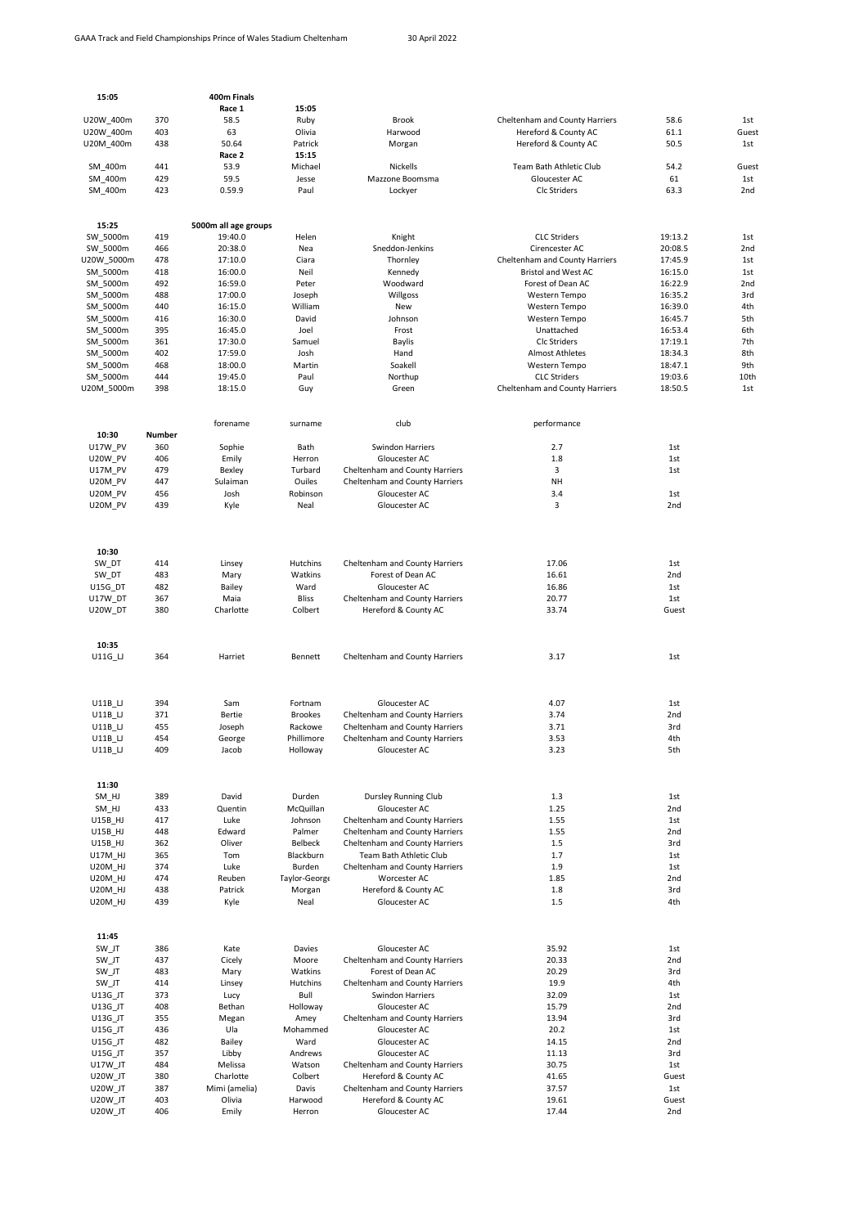| 15:05                |            | 400m Finals                     |                     |                                                        |                                |                 |                 |
|----------------------|------------|---------------------------------|---------------------|--------------------------------------------------------|--------------------------------|-----------------|-----------------|
|                      |            | Race 1                          | 15:05               |                                                        |                                |                 |                 |
| U20W 400m            | 370        | 58.5                            | Ruby                | Brook                                                  | Cheltenham and County Harriers | 58.6            | 1st             |
| U20W 400m            | 403        | 63                              | Olivia              | Harwood                                                | Hereford & County AC           | 61.1            | Guest           |
| U20M_400m            | 438        | 50.64                           | Patrick             | Morgan                                                 | Hereford & County AC           | 50.5            | 1st             |
|                      |            | Race 2                          | 15:15               |                                                        |                                |                 |                 |
| SM 400m              | 441        | 53.9                            | Michael             | <b>Nickells</b>                                        | Team Bath Athletic Club        | 54.2            | Guest           |
| SM_400m              | 429        | 59.5                            | Jesse               | Mazzone Boomsma                                        | Gloucester AC                  | 61              | 1st             |
| SM_400m              | 423        | 0.59.9                          | Paul                | Lockyer                                                | Clc Striders                   | 63.3            | 2nd             |
|                      |            |                                 |                     |                                                        |                                |                 |                 |
| 15:25                | 419        | 5000m all age groups<br>19:40.0 | Helen               | Knight                                                 | <b>CLC Striders</b>            | 19:13.2         | 1st             |
| SW_5000m<br>SW_5000m | 466        | 20:38.0                         | Nea                 | Sneddon-Jenkins                                        | Cirencester AC                 | 20:08.5         | 2nd             |
| J20W 5000m           | 478        | 17:10.0                         | Ciara               | Thornley                                               | Cheltenham and County Harriers | 17:45.9         | 1st             |
| SM_5000m             | 418        | 16:00.0                         | Neil                | Kennedy                                                | <b>Bristol and West AC</b>     | 16:15.0         | 1st             |
| SM_5000m             | 492        | 16:59.0                         | Peter               | Woodward                                               | Forest of Dean AC              | 16:22.9         | 2 <sub>nd</sub> |
| SM 5000m             | 488        | 17:00.0                         | Joseph              | Willgoss                                               | Western Tempo                  | 16:35.2         | 3rd             |
| SM_5000m             | 440        | 16:15.0                         | William             | New                                                    | Western Tempo                  | 16:39.0         | 4th             |
| SM_5000m             | 416        | 16:30.0                         | David               | Johnson                                                | Western Tempo                  | 16:45.7         | 5th             |
| SM 5000m             | 395        | 16:45.0                         | Joel                | Frost                                                  | Unattached                     | 16:53.4         | 6th             |
| SM_5000m             | 361        | 17:30.0                         | Samuel              | Baylis                                                 | <b>Clc Striders</b>            | 17:19.1         | 7th             |
| SM_5000m             | 402        | 17:59.0                         | Josh                | Hand                                                   | <b>Almost Athletes</b>         | 18:34.3         | 8th             |
| SM 5000m             | 468        | 18:00.0                         | Martin              | Soakell                                                | Western Tempo                  | 18:47.1         | 9th             |
| SM_5000m             | 444        | 19:45.0                         | Paul                | Northup                                                | <b>CLC Striders</b>            | 19:03.6         | 10th            |
| U20M 5000m           | 398        | 18:15.0                         | Guy                 | Green                                                  | Cheltenham and County Harriers | 18:50.5         | 1st             |
|                      |            |                                 |                     |                                                        |                                |                 |                 |
| 10:30                | Number     | forename                        | surname             | club                                                   | performance                    |                 |                 |
| <b>U17W PV</b>       | 360        | Sophie                          | Bath                | <b>Swindon Harriers</b>                                | 2.7                            | 1st             |                 |
| U20W PV              | 406        | Emily                           | Herron              | Gloucester AC                                          | 1.8                            | 1st             |                 |
| U17M PV              | 479        | Bexley                          | Turbard             | Cheltenham and County Harriers                         | 3                              | 1st             |                 |
| U20M PV              | 447        | Sulaiman                        | Ouiles              | Cheltenham and County Harriers                         | NH                             |                 |                 |
| U20M PV              | 456        | Josh                            | Robinson            | Gloucester AC                                          | 3.4                            | 1st             |                 |
| U20M PV              | 439        | Kyle                            | Neal                | Gloucester AC                                          | 3                              | 2nd             |                 |
|                      |            |                                 |                     |                                                        |                                |                 |                 |
| 10:30                |            |                                 |                     |                                                        |                                |                 |                 |
| SW DT                | 414        | Linsey                          | Hutchins            | Cheltenham and County Harriers                         | 17.06                          | 1st             |                 |
| SW DT                | 483        | Mary                            | Watkins             | Forest of Dean AC                                      | 16.61                          | 2nd             |                 |
| U15G_DT              | 482        | Bailey                          | Ward                | Gloucester AC                                          | 16.86                          | 1st             |                 |
| U17W DT              | 367        | Maia                            | <b>Bliss</b>        | Cheltenham and County Harriers                         | 20.77                          | 1st             |                 |
| U20W DT              | 380        | Charlotte                       | Colbert             | Hereford & County AC                                   | 33.74                          | Guest           |                 |
|                      |            |                                 |                     |                                                        |                                |                 |                 |
| 10:35<br>U11G_LJ     | 364        | Harriet                         | Bennett             | Cheltenham and County Harriers                         | 3.17                           | 1st             |                 |
|                      |            |                                 |                     |                                                        |                                |                 |                 |
| U11B LJ              | 394        | Sam                             | Fortnam             | Gloucester AC                                          | 4.07                           | 1st             |                 |
| <b>U11B LJ</b>       | 371        | Bertie                          | <b>Brookes</b>      | Cheltenham and County Harriers                         | 3.74                           | 2nd             |                 |
| $U11B$ _LJ           | 455        | Joseph                          | Rackowe             | Cheltenham and County Harriers                         | 3.71                           | 3rd             |                 |
| U11B LJ              | 454        | George                          | Phillimore          | Cheltenham and County Harriers                         | 3.53                           | 4th             |                 |
| $U11B_L$             | 409        | Jacob                           | Holloway            | Gloucester AC                                          | 3.23                           | 5th             |                 |
|                      |            |                                 |                     |                                                        |                                |                 |                 |
| 11:30                |            |                                 |                     |                                                        |                                |                 |                 |
| SM_HJ                | 389        | David                           | Durden<br>McQuillan | Dursley Running Club                                   | 1.3                            | 1st             |                 |
| SM HJ<br>U15B HJ     | 433<br>417 | Quentin<br>Luke                 | Johnson             | Gloucester AC<br>Cheltenham and County Harriers        | 1.25<br>1.55                   | 2nd<br>1st      |                 |
| U15B HJ              | 448        | Edward                          | Palmer              | Cheltenham and County Harriers                         | 1.55                           | 2 <sub>nd</sub> |                 |
| U15B HJ              | 362        | Oliver                          | Belbeck             | Cheltenham and County Harriers                         | 1.5                            | 3rd             |                 |
| <b>U17M HJ</b>       | 365        | Tom                             | Blackburn           | Team Bath Athletic Club                                | 1.7                            | 1st             |                 |
| U20M_HJ              | 374        | Luke                            | Burden              | Cheltenham and County Harriers                         | 1.9                            | 1st             |                 |
| <b>U20M HJ</b>       | 474        | Reuben                          | Taylor-George       | Worcester AC                                           | 1.85                           | 2nd             |                 |
| <b>U20M HJ</b>       | 438        | Patrick                         | Morgan              | Hereford & County AC                                   | 1.8                            | 3rd             |                 |
| U20M HJ              | 439        | Kyle                            | Neal                | Gloucester AC                                          | 1.5                            | 4th             |                 |
|                      |            |                                 |                     |                                                        |                                |                 |                 |
| 11:45<br>SW_JT       | 386        | Kate                            | Davies              | Gloucester AC                                          | 35.92                          | 1st             |                 |
| SW JT                | 437        | Cicely                          | Moore               | Cheltenham and County Harriers                         | 20.33                          | 2nd             |                 |
| SW_JT                | 483        | Mary                            | Watkins             | Forest of Dean AC                                      | 20.29                          | 3rd             |                 |
| SW_JT                | 414        | Linsey                          | Hutchins            | Cheltenham and County Harriers                         | 19.9                           | 4th             |                 |
| U13G_JT              | 373        | Lucy                            | Bull                | Swindon Harriers                                       | 32.09                          | 1st             |                 |
| U13G_JT              | 408        | Bethan                          | Holloway            | Gloucester AC                                          | 15.79                          | 2nd             |                 |
| U13G_JT              | 355        | Megan                           | Amey                | Cheltenham and County Harriers                         | 13.94                          | 3rd             |                 |
| U15G_JT              | 436        | Ula                             | Mohammed            | Gloucester AC                                          | 20.2                           | 1st             |                 |
| U15G_JT              | 482        | Bailey                          | Ward                | Gloucester AC                                          | 14.15                          | 2nd             |                 |
| U15G_JT              | 357        | Libby                           | Andrews             | Gloucester AC                                          | 11.13                          | 3rd             |                 |
| U17W_JT              | 484        | Melissa                         | Watson              | Cheltenham and County Harriers                         | 30.75                          | 1st             |                 |
| U20W_JT              | 380        | Charlotte                       | Colbert             | Hereford & County AC                                   | 41.65                          | Guest           |                 |
| U20W_JT<br>U20W JT   | 387<br>403 | Mimi (amelia)<br>Olivia         | Davis<br>Harwood    | Cheltenham and County Harriers<br>Hereford & County AC | 37.57<br>19.61                 | 1st<br>Guest    |                 |
| U20W_JT              | 406        | Emily                           | Herron              | Gloucester AC                                          | 17.44                          | 2nd             |                 |
|                      |            |                                 |                     |                                                        |                                |                 |                 |